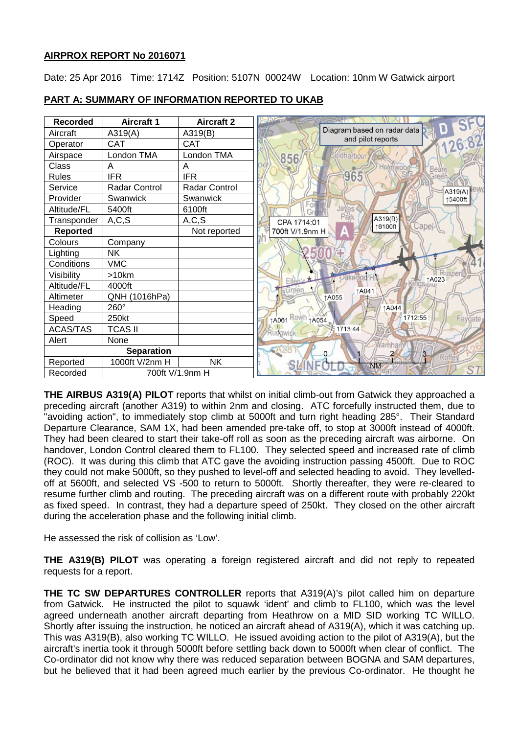## **AIRPROX REPORT No 2016071**

Date: 25 Apr 2016 Time: 1714Z Position: 5107N 00024W Location: 10nm W Gatwick airport



## **PART A: SUMMARY OF INFORMATION REPORTED TO UKAB**

**THE AIRBUS A319(A) PILOT** reports that whilst on initial climb-out from Gatwick they approached a preceding aircraft (another A319) to within 2nm and closing. ATC forcefully instructed them, due to "avoiding action", to immediately stop climb at 5000ft and turn right heading 285°. Their Standard Departure Clearance, SAM 1X, had been amended pre-take off, to stop at 3000ft instead of 4000ft. They had been cleared to start their take-off roll as soon as the preceding aircraft was airborne. On handover, London Control cleared them to FL100. They selected speed and increased rate of climb (ROC). It was during this climb that ATC gave the avoiding instruction passing 4500ft. Due to ROC they could not make 5000ft, so they pushed to level-off and selected heading to avoid. They levelledoff at 5600ft, and selected VS -500 to return to 5000ft. Shortly thereafter, they were re-cleared to resume further climb and routing. The preceding aircraft was on a different route with probably 220kt as fixed speed. In contrast, they had a departure speed of 250kt. They closed on the other aircraft during the acceleration phase and the following initial climb.

He assessed the risk of collision as 'Low'.

**THE A319(B) PILOT** was operating a foreign registered aircraft and did not reply to repeated requests for a report.

**THE TC SW DEPARTURES CONTROLLER** reports that A319(A)'s pilot called him on departure from Gatwick. He instructed the pilot to squawk 'ident' and climb to FL100, which was the level agreed underneath another aircraft departing from Heathrow on a MID SID working TC WILLO. Shortly after issuing the instruction, he noticed an aircraft ahead of A319(A), which it was catching up. This was A319(B), also working TC WILLO. He issued avoiding action to the pilot of A319(A), but the aircraft's inertia took it through 5000ft before settling back down to 5000ft when clear of conflict. The Co-ordinator did not know why there was reduced separation between BOGNA and SAM departures, but he believed that it had been agreed much earlier by the previous Co-ordinator. He thought he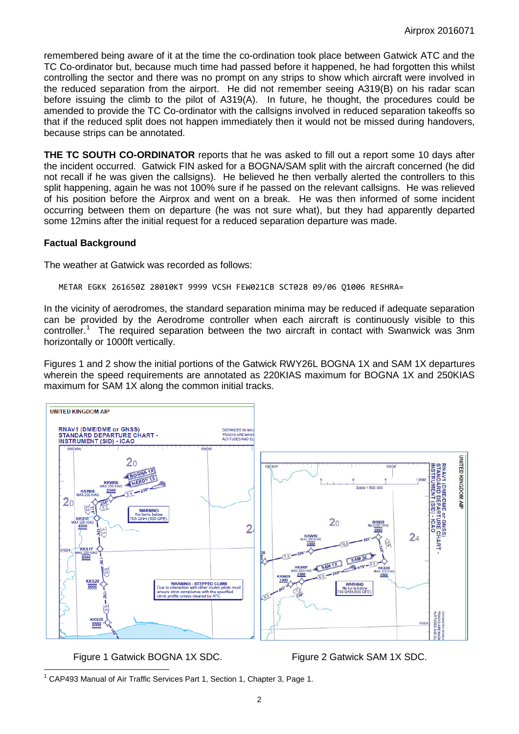remembered being aware of it at the time the co-ordination took place between Gatwick ATC and the TC Co-ordinator but, because much time had passed before it happened, he had forgotten this whilst controlling the sector and there was no prompt on any strips to show which aircraft were involved in the reduced separation from the airport. He did not remember seeing A319(B) on his radar scan before issuing the climb to the pilot of A319(A). In future, he thought, the procedures could be amended to provide the TC Co-ordinator with the callsigns involved in reduced separation takeoffs so that if the reduced split does not happen immediately then it would not be missed during handovers, because strips can be annotated.

**THE TC SOUTH CO-ORDINATOR** reports that he was asked to fill out a report some 10 days after the incident occurred. Gatwick FIN asked for a BOGNA/SAM split with the aircraft concerned (he did not recall if he was given the callsigns). He believed he then verbally alerted the controllers to this split happening, again he was not 100% sure if he passed on the relevant callsigns. He was relieved of his position before the Airprox and went on a break. He was then informed of some incident occurring between them on departure (he was not sure what), but they had apparently departed some 12mins after the initial request for a reduced separation departure was made.

### **Factual Background**

The weather at Gatwick was recorded as follows:

METAR EGKK 261650Z 28010KT 9999 VCSH FEW021CB SCT028 09/06 Q1006 RESHRA=

In the vicinity of aerodromes, the standard separation minima may be reduced if adequate separation can be provided by the Aerodrome controller when each aircraft is continuously visible to this controller.<sup>[1](#page-1-0)</sup> The required separation between the two aircraft in contact with Swanwick was 3nm horizontally or 1000ft vertically.

Figures 1 and 2 show the initial portions of the Gatwick RWY26L BOGNA 1X and SAM 1X departures wherein the speed requirements are annotated as 220KIAS maximum for BOGNA 1X and 250KIAS maximum for SAM 1X along the common initial tracks.



Figure 1 Gatwick BOGNA 1X SDC. Figure 2 Gatwick SAM 1X SDC.

<span id="page-1-0"></span><sup>&</sup>lt;sup>1</sup> CAP493 Manual of Air Traffic Services Part 1, Section 1, Chapter 3, Page 1.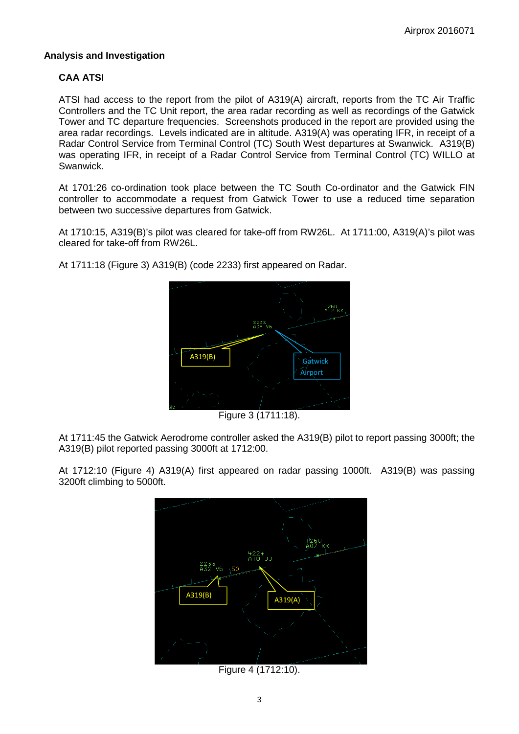## **Analysis and Investigation**

# **CAA ATSI**

ATSI had access to the report from the pilot of A319(A) aircraft, reports from the TC Air Traffic Controllers and the TC Unit report, the area radar recording as well as recordings of the Gatwick Tower and TC departure frequencies. Screenshots produced in the report are provided using the area radar recordings. Levels indicated are in altitude. A319(A) was operating IFR, in receipt of a Radar Control Service from Terminal Control (TC) South West departures at Swanwick. A319(B) was operating IFR, in receipt of a Radar Control Service from Terminal Control (TC) WILLO at Swanwick.

At 1701:26 co-ordination took place between the TC South Co-ordinator and the Gatwick FIN controller to accommodate a request from Gatwick Tower to use a reduced time separation between two successive departures from Gatwick.

At 1710:15, A319(B)'s pilot was cleared for take-off from RW26L. At 1711:00, A319(A)'s pilot was cleared for take-off from RW26L.



At 1711:18 (Figure 3) A319(B) (code 2233) first appeared on Radar.

Figure 3 (1711:18).

At 1711:45 the Gatwick Aerodrome controller asked the A319(B) pilot to report passing 3000ft; the A319(B) pilot reported passing 3000ft at 1712:00.

At 1712:10 (Figure 4) A319(A) first appeared on radar passing 1000ft. A319(B) was passing 3200ft climbing to 5000ft.



Figure 4 (1712:10).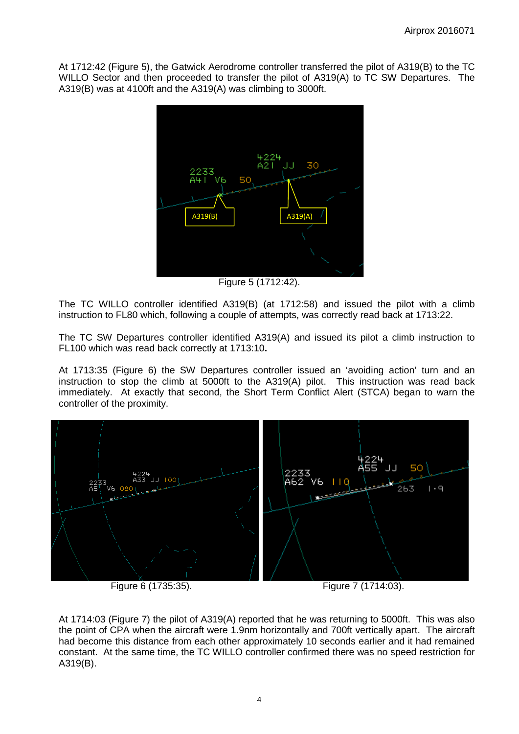At 1712:42 (Figure 5), the Gatwick Aerodrome controller transferred the pilot of A319(B) to the TC WILLO Sector and then proceeded to transfer the pilot of A319(A) to TC SW Departures. The A319(B) was at 4100ft and the A319(A) was climbing to 3000ft.



Figure 5 (1712:42).

The TC WILLO controller identified A319(B) (at 1712:58) and issued the pilot with a climb instruction to FL80 which, following a couple of attempts, was correctly read back at 1713:22.

The TC SW Departures controller identified A319(A) and issued its pilot a climb instruction to FL100 which was read back correctly at 1713:10**.**

At 1713:35 (Figure 6) the SW Departures controller issued an 'avoiding action' turn and an instruction to stop the climb at 5000ft to the A319(A) pilot. This instruction was read back immediately. At exactly that second, the Short Term Conflict Alert (STCA) began to warn the controller of the proximity.



Figure 6 (1735:35). Figure 7 (1714:03).

At 1714:03 (Figure 7) the pilot of A319(A) reported that he was returning to 5000ft. This was also the point of CPA when the aircraft were 1.9nm horizontally and 700ft vertically apart. The aircraft had become this distance from each other approximately 10 seconds earlier and it had remained constant. At the same time, the TC WILLO controller confirmed there was no speed restriction for A319(B).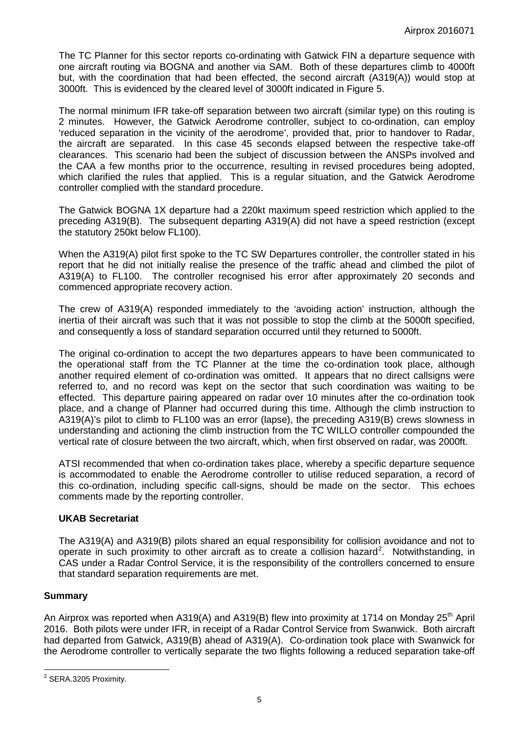The TC Planner for this sector reports co-ordinating with Gatwick FIN a departure sequence with one aircraft routing via BOGNA and another via SAM. Both of these departures climb to 4000ft but, with the coordination that had been effected, the second aircraft (A319(A)) would stop at 3000ft. This is evidenced by the cleared level of 3000ft indicated in Figure 5.

The normal minimum IFR take-off separation between two aircraft (similar type) on this routing is 2 minutes. However, the Gatwick Aerodrome controller, subject to co-ordination, can employ 'reduced separation in the vicinity of the aerodrome', provided that, prior to handover to Radar, the aircraft are separated. In this case 45 seconds elapsed between the respective take-off clearances. This scenario had been the subject of discussion between the ANSPs involved and the CAA a few months prior to the occurrence, resulting in revised procedures being adopted, which clarified the rules that applied. This is a regular situation, and the Gatwick Aerodrome controller complied with the standard procedure.

The Gatwick BOGNA 1X departure had a 220kt maximum speed restriction which applied to the preceding A319(B). The subsequent departing A319(A) did not have a speed restriction (except the statutory 250kt below FL100).

When the A319(A) pilot first spoke to the TC SW Departures controller, the controller stated in his report that he did not initially realise the presence of the traffic ahead and climbed the pilot of A319(A) to FL100. The controller recognised his error after approximately 20 seconds and commenced appropriate recovery action.

The crew of A319(A) responded immediately to the 'avoiding action' instruction, although the inertia of their aircraft was such that it was not possible to stop the climb at the 5000ft specified, and consequently a loss of standard separation occurred until they returned to 5000ft.

The original co-ordination to accept the two departures appears to have been communicated to the operational staff from the TC Planner at the time the co-ordination took place, although another required element of co-ordination was omitted. It appears that no direct callsigns were referred to, and no record was kept on the sector that such coordination was waiting to be effected. This departure pairing appeared on radar over 10 minutes after the co-ordination took place, and a change of Planner had occurred during this time. Although the climb instruction to A319(A)'s pilot to climb to FL100 was an error (lapse), the preceding A319(B) crews slowness in understanding and actioning the climb instruction from the TC WILLO controller compounded the vertical rate of closure between the two aircraft, which, when first observed on radar, was 2000ft.

ATSI recommended that when co-ordination takes place, whereby a specific departure sequence is accommodated to enable the Aerodrome controller to utilise reduced separation, a record of this co-ordination, including specific call-signs, should be made on the sector. This echoes comments made by the reporting controller.

### **UKAB Secretariat**

The A319(A) and A319(B) pilots shared an equal responsibility for collision avoidance and not to operate in such proximity to other aircraft as to create a collision hazard<sup>[2](#page-4-0)</sup>. Notwithstanding, in CAS under a Radar Control Service, it is the responsibility of the controllers concerned to ensure that standard separation requirements are met.

### **Summary**

An Airprox was reported when A319(A) and A319(B) flew into proximity at 1714 on Monday  $25<sup>th</sup>$  April 2016. Both pilots were under IFR, in receipt of a Radar Control Service from Swanwick. Both aircraft had departed from Gatwick, A319(B) ahead of A319(A). Co-ordination took place with Swanwick for the Aerodrome controller to vertically separate the two flights following a reduced separation take-off

<span id="page-4-0"></span><sup>2</sup> SERA.3205 Proximity.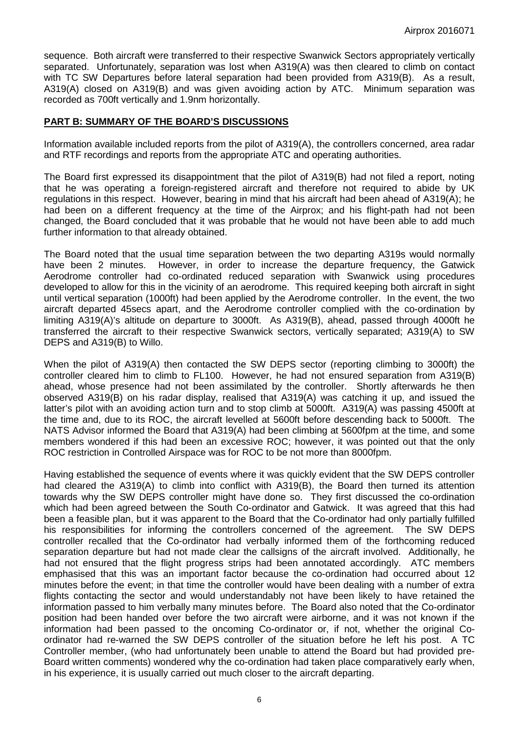sequence. Both aircraft were transferred to their respective Swanwick Sectors appropriately vertically separated. Unfortunately, separation was lost when A319(A) was then cleared to climb on contact with TC SW Departures before lateral separation had been provided from A319(B). As a result, A319(A) closed on A319(B) and was given avoiding action by ATC. Minimum separation was recorded as 700ft vertically and 1.9nm horizontally.

#### **PART B: SUMMARY OF THE BOARD'S DISCUSSIONS**

Information available included reports from the pilot of A319(A), the controllers concerned, area radar and RTF recordings and reports from the appropriate ATC and operating authorities.

The Board first expressed its disappointment that the pilot of A319(B) had not filed a report, noting that he was operating a foreign-registered aircraft and therefore not required to abide by UK regulations in this respect. However, bearing in mind that his aircraft had been ahead of A319(A); he had been on a different frequency at the time of the Airprox; and his flight-path had not been changed, the Board concluded that it was probable that he would not have been able to add much further information to that already obtained.

The Board noted that the usual time separation between the two departing A319s would normally have been 2 minutes. However, in order to increase the departure frequency, the Gatwick Aerodrome controller had co-ordinated reduced separation with Swanwick using procedures developed to allow for this in the vicinity of an aerodrome. This required keeping both aircraft in sight until vertical separation (1000ft) had been applied by the Aerodrome controller. In the event, the two aircraft departed 45secs apart, and the Aerodrome controller complied with the co-ordination by limiting A319(A)'s altitude on departure to 3000ft. As A319(B), ahead, passed through 4000ft he transferred the aircraft to their respective Swanwick sectors, vertically separated; A319(A) to SW DEPS and A319(B) to Willo.

When the pilot of A319(A) then contacted the SW DEPS sector (reporting climbing to 3000ft) the controller cleared him to climb to FL100. However, he had not ensured separation from A319(B) ahead, whose presence had not been assimilated by the controller. Shortly afterwards he then observed A319(B) on his radar display, realised that A319(A) was catching it up, and issued the latter's pilot with an avoiding action turn and to stop climb at 5000ft. A319(A) was passing 4500ft at the time and, due to its ROC, the aircraft levelled at 5600ft before descending back to 5000ft. The NATS Advisor informed the Board that A319(A) had been climbing at 5600fpm at the time, and some members wondered if this had been an excessive ROC; however, it was pointed out that the only ROC restriction in Controlled Airspace was for ROC to be not more than 8000fpm.

Having established the sequence of events where it was quickly evident that the SW DEPS controller had cleared the A319(A) to climb into conflict with A319(B), the Board then turned its attention towards why the SW DEPS controller might have done so. They first discussed the co-ordination which had been agreed between the South Co-ordinator and Gatwick. It was agreed that this had been a feasible plan, but it was apparent to the Board that the Co-ordinator had only partially fulfilled his responsibilities for informing the controllers concerned of the agreement. The SW DEPS controller recalled that the Co-ordinator had verbally informed them of the forthcoming reduced separation departure but had not made clear the callsigns of the aircraft involved. Additionally, he had not ensured that the flight progress strips had been annotated accordingly. ATC members emphasised that this was an important factor because the co-ordination had occurred about 12 minutes before the event; in that time the controller would have been dealing with a number of extra flights contacting the sector and would understandably not have been likely to have retained the information passed to him verbally many minutes before. The Board also noted that the Co-ordinator position had been handed over before the two aircraft were airborne, and it was not known if the information had been passed to the oncoming Co-ordinator or, if not, whether the original Coordinator had re-warned the SW DEPS controller of the situation before he left his post. A TC Controller member, (who had unfortunately been unable to attend the Board but had provided pre-Board written comments) wondered why the co-ordination had taken place comparatively early when, in his experience, it is usually carried out much closer to the aircraft departing.